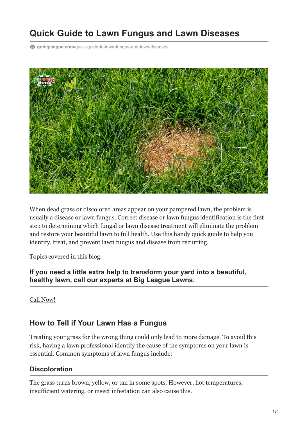# **Quick Guide to Lawn Fungus and Lawn Diseases**

**gobigleague.com**[/quick-guide-to-lawn-fungus-and-lawn-diseases](https://gobigleague.com/quick-guide-to-lawn-fungus-and-lawn-diseases/)



When dead grass or discolored areas appear on your pampered lawn, the problem is usually a disease or lawn fungus. Correct disease or lawn fungus identification is the first step to determining which fungal or lawn disease treatment will eliminate the problem and restore your beautiful lawn to full health. Use this handy quick guide to help you identify, treat, and prevent lawn fungus and disease from recurring.

Topics covered in this blog:

**If you need a little extra help to transform your yard into a beautiful, healthy lawn, call our experts at Big League Lawns.**

[Call Now!](tel:+18018299626)

## **How to Tell if Your Lawn Has a Fungus**

Treating your grass for the wrong thing could only lead to more damage. To avoid this risk, having a lawn professional identify the cause of the symptoms on your lawn is essential. Common symptoms of lawn fungus include:

#### **Discoloration**

The grass turns brown, yellow, or tan in some spots. However, hot temperatures, insufficient watering, or insect infestation can also cause this.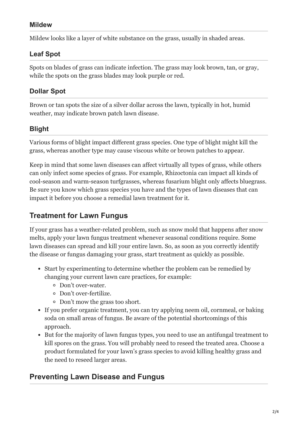## **Mildew**

Mildew looks like a layer of white substance on the grass, usually in shaded areas.

## **Leaf Spot**

Spots on blades of grass can indicate infection. The grass may look brown, tan, or gray, while the spots on the grass blades may look purple or red.

## **Dollar Spot**

Brown or tan spots the size of a silver dollar across the lawn, typically in hot, humid weather, may indicate brown patch lawn disease.

## **Blight**

Various forms of blight impact different grass species. One type of blight might kill the grass, whereas another type may cause viscous white or brown patches to appear.

Keep in mind that some lawn diseases can affect virtually all types of grass, while others can only infect some species of grass. For example, Rhizoctonia can impact all kinds of cool-season and warm-season turfgrasses, whereas fusarium blight only affects bluegrass. Be sure you know which grass species you have and the types of lawn diseases that can impact it before you choose a remedial lawn treatment for it.

# **Treatment for Lawn Fungus**

If your grass has a weather-related problem, such as snow mold that happens after snow melts, apply your lawn fungus treatment whenever seasonal conditions require. Some lawn diseases can spread and kill your entire lawn. So, as soon as you correctly identify the disease or fungus damaging your grass, start treatment as quickly as possible.

- Start by experimenting to determine whether the problem can be remedied by changing your current lawn care practices, for example:
	- Don't over-water.
	- Don't over-fertilize.
	- Don't mow the grass too short.
- If you prefer organic treatment, you can try applying neem oil, cornmeal, or baking soda on small areas of fungus. Be aware of the potential shortcomings of this approach.
- But for the majority of lawn fungus types, you need to use an antifungal treatment to kill spores on the grass. You will probably need to reseed the treated area. Choose a product formulated for your lawn's grass species to avoid killing healthy grass and the need to reseed larger areas.

# **Preventing Lawn Disease and Fungus**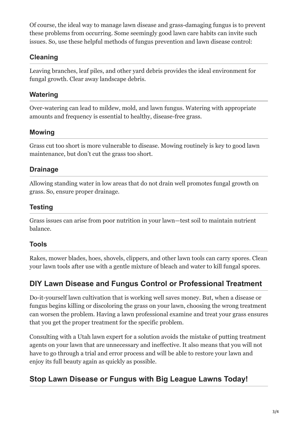Of course, the ideal way to manage lawn disease and grass-damaging fungus is to prevent these problems from occurring. Some seemingly good lawn care habits can invite such issues. So, use these helpful methods of fungus prevention and lawn disease control:

## **Cleaning**

Leaving branches, leaf piles, and other yard debris provides the ideal environment for fungal growth. Clear away landscape debris.

## **Watering**

Over-watering can lead to mildew, mold, and lawn fungus. Watering with appropriate amounts and frequency is essential to healthy, disease-free grass.

## **Mowing**

Grass cut too short is more vulnerable to disease. Mowing routinely is key to good lawn maintenance, but don't cut the grass too short.

## **Drainage**

Allowing standing water in low areas that do not drain well promotes fungal growth on grass. So, ensure proper drainage.

## **Testing**

Grass issues can arise from poor nutrition in your lawn—test soil to maintain nutrient balance.

#### **Tools**

Rakes, mower blades, hoes, shovels, clippers, and other lawn tools can carry spores. Clean your lawn tools after use with a gentle mixture of bleach and water to kill fungal spores.

# **DIY Lawn Disease and Fungus Control or Professional Treatment**

Do-it-yourself lawn cultivation that is working well saves money. But, when a disease or fungus begins killing or discoloring the grass on your lawn, choosing the wrong treatment can worsen the problem. Having a lawn professional examine and treat your grass ensures that you get the proper treatment for the specific problem.

Consulting with a Utah lawn expert for a solution avoids the mistake of putting treatment agents on your lawn that are unnecessary and ineffective. It also means that you will not have to go through a trial and error process and will be able to restore your lawn and enjoy its full beauty again as quickly as possible.

# **Stop Lawn Disease or Fungus with Big League Lawns Today!**